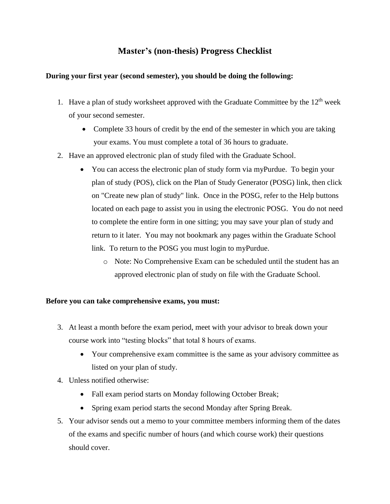## **Master's (non-thesis) Progress Checklist**

## **During your first year (second semester), you should be doing the following:**

- 1. Have a plan of study worksheet approved with the Graduate Committee by the  $12<sup>th</sup>$  week of your second semester.
	- Complete 33 hours of credit by the end of the semester in which you are taking your exams. You must complete a total of 36 hours to graduate.
- 2. Have an approved electronic plan of study filed with the Graduate School.
	- You can access the electronic plan of study form via myPurdue. To begin your plan of study (POS), click on the Plan of Study Generator (POSG) link, then click on "Create new plan of study" link. Once in the POSG, refer to the Help buttons located on each page to assist you in using the electronic POSG. You do not need to complete the entire form in one sitting; you may save your plan of study and return to it later. You may not bookmark any pages within the Graduate School link. To return to the POSG you must login to myPurdue.
		- o Note: No Comprehensive Exam can be scheduled until the student has an approved electronic plan of study on file with the Graduate School.

## **Before you can take comprehensive exams, you must:**

- 3. At least a month before the exam period, meet with your advisor to break down your course work into "testing blocks" that total 8 hours of exams.
	- Your comprehensive exam committee is the same as your advisory committee as listed on your plan of study.
- 4. Unless notified otherwise:
	- Fall exam period starts on Monday following October Break;
	- Spring exam period starts the second Monday after Spring Break.
- 5. Your advisor sends out a memo to your committee members informing them of the dates of the exams and specific number of hours (and which course work) their questions should cover.